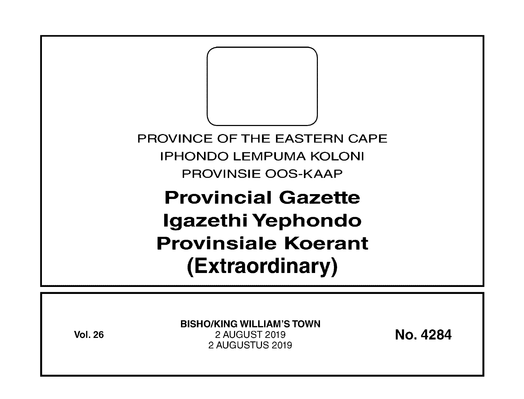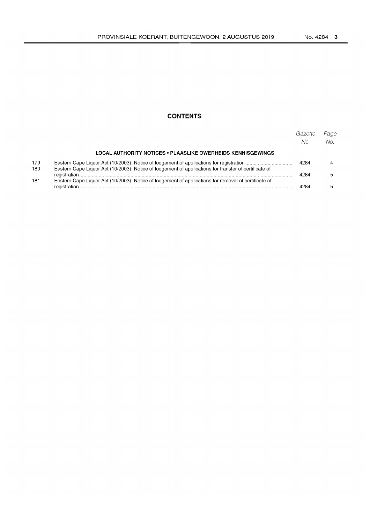# **CONTENTS**

|            |                                                                                                       | Gazette<br>No. | Page<br>No. |
|------------|-------------------------------------------------------------------------------------------------------|----------------|-------------|
|            | LOCAL AUTHORITY NOTICES • PLAASLIKE OWERHEIDS KENNISGEWINGS                                           |                |             |
| 179<br>180 | Eastern Cape Liquor Act (10/2003): Notice of lodgement of applications for transfer of certificate of | 4284           |             |
|            |                                                                                                       | 4284           |             |
| 181        | Eastern Cape Liquor Act (10/2003): Notice of lodgement of applications for removal of certificate of  | 4284           |             |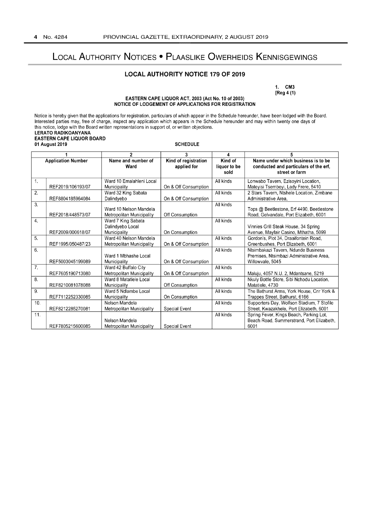# LOCAL AUTHORITY NOTICES • PLAASLIKE OWERHEIDS KENNISGEWINGS

## **LOCAL AUTHORITY NOTICE 179 OF 2019**

1. CM3 [Reg 4 (1)

### EASTERN CAPE LIQUOR ACT, 2003 (Act No.1 0 of 2003) NOTICE OF LODGEMENT OF APPLICATIONS FOR REGISTRATION

Notice is hereby given that the applications for registration, particulars of which appear in the Schedule hereunder, have been lodged with the Board. Interested parties may, free of charge, inspect any application which appears in the Schedule hereunder and may within twenty one days of this notice, lodge with the Board written representations in support of, or written objections. LERATO RADIKOANYANA

### EASTERN CAPE LIQUOR BOARD 01 August 2019 SCHEDULE

|                           |                   | $\overline{2}$                                         | 3                                   | 4                               |                                                                                                     |
|---------------------------|-------------------|--------------------------------------------------------|-------------------------------------|---------------------------------|-----------------------------------------------------------------------------------------------------|
| <b>Application Number</b> |                   | Name and number of<br>Ward                             | Kind of registration<br>applied for | Kind of<br>liquor to be<br>sold | Name under which business is to be<br>conducted and particulars of the erf,<br>street or farm       |
| $\mathbf{1}$              | REF2019/106193/07 | Ward 10 Emalahleni Local<br>Municipality               | On & Off Consumption                | All kinds                       | Lonwabo Tavern, Ezisoyini Location,<br>Mateyisi Tsembeyi, Lady Frere, 5410                          |
| $\overline{2}$ .          | REF8804185964084  | Ward 32 King Sabata<br>Dalindyebo                      | On & Off Consumption                | All kinds                       | 2 Stars Tavern, Ntshele Location, Zimbane<br>Administrative Area.                                   |
| 3.                        | REF2018/448573/07 | Ward 10 Nelson Mandela<br>Metropolitan Municipality    | Off Consumption                     | All kinds                       | Tops @ Beetlestone, Erf 4490, Beetlestone<br>Road, Gelvandale, Port Elizabeth, 6001                 |
| $\overline{4}$ .          | REF2009/000618/07 | Ward 7 King Sabata<br>Dalindyebo Local<br>Municipality | On Consumption                      | All kinds                       | Vinnies Grill Steak House, 34 Spring<br>Avenue, Mayfair Casino, Mthatha, 5099                       |
| 5.                        | REF1995/050487/23 | Ward 40 Nelson Mandela<br>Metropolitan Municipality    | On & Off Consumption                | All kinds                       | Gordon's, Plot 34, Draaifontein Road,<br>Greenbushes, Port Elizabeth, 6001                          |
| 6.                        | REF5003045199089  | Ward 1 Mbhashe Local<br>Municipality                   | On & Off Consumption                | All kinds                       | Ntsimbakazi Tavern, Ndunde Business<br>Premises, Ntsimbazi Administrative Area,<br>Willowvale, 5045 |
| $\overline{7}$ .          | REF7605190713080  | Ward 42 Buffalo City<br>Metropolitan Municipality      | On & Off Consumption                | All kinds                       | Maluju, 4057 N.U. 2, Mdantsane, 5219                                                                |
| 8.                        | REF8210081078088  | Ward 8 Matatiele Local<br>Municipality                 | Off Consumption                     | All kinds                       | Nkuly Bottle Store, Sibi Nchodu Location,<br>Matatiele, 4730                                        |
| 9.                        | REF7112252330085  | Ward 5 Ndlambe Local<br>Municipality                   | On Consumption                      | All kinds                       | The Bathurst Arms, York House, Cnr York &<br>Trappes Street, Bathurst, 6166                         |
| 10.                       | REF8212285270081  | Nelson Mandela<br>Metropolitan Municipality            | Special Event                       | All kinds                       | Supporters Day, Wolfson Stadium, 7 Stofile<br>Street, Kwazakhele, Port Elizabeth, 6001              |
| 11.                       | REF7805215600085  | Nelson Mandela<br>Metropolitan Municipality            | <b>Special Event</b>                | All kinds                       | Spring Fever, Kings Beach, Parking Lot,<br>Beach Road, Summerstrand, Port Elizabeth,<br>6001        |